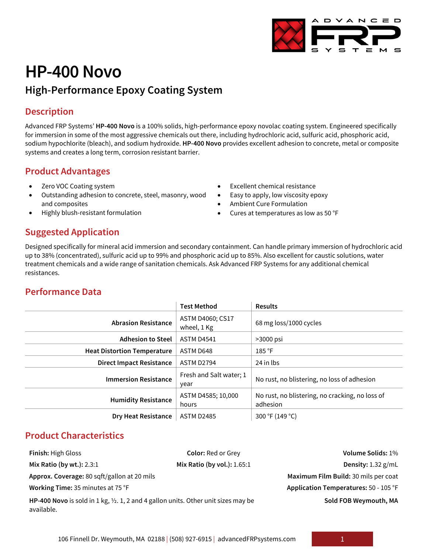

# **HP-400 Novo**

# **High-Performance Epoxy Coating System**

## **Description**

Advanced FRP Systems' **HP-400 Novo** is a 100% solids, high-performance epoxy novolac coating system. Engineered specifically for immersion in some of the most aggressive chemicals out there, including hydrochloric acid, sulfuric acid, phosphoric acid, sodium hypochlorite (bleach), and sodium hydroxide. **HP-400 Novo** provides excellent adhesion to concrete, metal or composite systems and creates a long term, corrosion resistant barrier.

# **Product Advantages**

- Zero VOC Coating system
- Outstanding adhesion to concrete, steel, masonry, wood and composites
- Highly blush-resistant formulation
- Excellent chemical resistance
- Easy to apply, low viscosity epoxy
- Ambient Cure Formulation
- Cures at temperatures as low as 50 °F

## **Suggested Application**

Designed specifically for mineral acid immersion and secondary containment. Can handle primary immersion of hydrochloric acid up to 38% (concentrated), sulfuric acid up to 99% and phosphoric acid up to 85%. Also excellent for caustic solutions, water treatment chemicals and a wide range of sanitation chemicals. Ask Advanced FRP Systems for any additional chemical resistances.

## **Performance Data**

|                                    | <b>Test Method</b>               | <b>Results</b>                                              |
|------------------------------------|----------------------------------|-------------------------------------------------------------|
| <b>Abrasion Resistance</b>         | ASTM D4060; CS17<br>wheel, 1 Kg  | 68 mg loss/1000 cycles                                      |
| <b>Adhesion to Steel</b>           | <b>ASTM D4541</b><br>$>3000$ psi |                                                             |
| <b>Heat Distortion Temperature</b> | ASTM D648                        | 185 °F                                                      |
| <b>Direct Impact Resistance</b>    | ASTM D2794                       | 24 in lbs                                                   |
| <b>Immersion Resistance</b>        | Fresh and Salt water; 1<br>year  | No rust, no blistering, no loss of adhesion                 |
| <b>Humidity Resistance</b>         | ASTM D4585; 10,000<br>hours      | No rust, no blistering, no cracking, no loss of<br>adhesion |
| <b>Dry Heat Resistance</b>         | <b>ASTM D2485</b>                | 300 °F (149 °C)                                             |

# **Product Characteristics**

| <b>Finish: High Gloss</b>                                                                                   | <b>Color: Red or Grey</b>     | Volume Solids: 1%                     |
|-------------------------------------------------------------------------------------------------------------|-------------------------------|---------------------------------------|
| Mix Ratio (by wt.): $2.3:1$                                                                                 | Mix Ratio (by vol.): $1.65:1$ | Density: 1.32 g/mL                    |
| Approx. Coverage: 80 sqft/gallon at 20 mils                                                                 |                               | Maximum Film Build: 30 mils per coat  |
| Working Time: 35 minutes at 75 °F                                                                           |                               | Application Temperatures: 50 - 105 °F |
| HP-400 Novo is sold in 1 kg, $\frac{1}{2}$ . 1, 2 and 4 gallon units. Other unit sizes may be<br>available. |                               | Sold FOB Weymouth, MA                 |

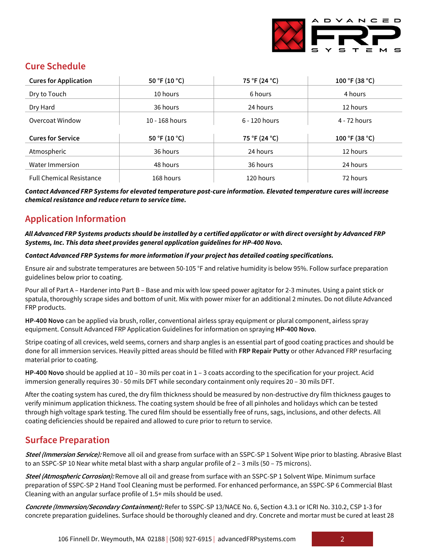

## **Cure Schedule**

| <b>Cures for Application</b>    | 50 °F (10 °C)    | 75 °F (24 °C)   | 100 °F (38 °C) |
|---------------------------------|------------------|-----------------|----------------|
| Dry to Touch                    | 10 hours         | 6 hours         | 4 hours        |
| Dry Hard                        | 36 hours         | 24 hours        | 12 hours       |
| Overcoat Window                 | $10 - 168$ hours | $6 - 120$ hours | 4 - 72 hours   |
| <b>Cures for Service</b>        | 50 °F (10 °C)    | 75 °F (24 °C)   | 100 °F (38 °C) |
|                                 |                  |                 |                |
| Atmospheric                     | 36 hours         | 24 hours        | 12 hours       |
| Water Immersion                 | 48 hours         | 36 hours        | 24 hours       |
| <b>Full Chemical Resistance</b> | 168 hours        | 120 hours       | 72 hours       |

*Contact Advanced FRP Systems for elevated temperature post-cure information. Elevated temperature cures will increase chemical resistance and reduce return to service time.*

# **Application Information**

#### *All Advanced FRP Systems products should be installed by a certified applicator or with direct oversight by Advanced FRP Systems, Inc. This data sheet provides general application guidelines for HP-400 Novo.*

#### *Contact Advanced FRP Systems for more information if your project has detailed coating specifications.*

Ensure air and substrate temperatures are between 50-105 °F and relative humidity is below 95%. Follow surface preparation guidelines below prior to coating.

Pour all of Part A – Hardener into Part B – Base and mix with low speed power agitator for 2-3 minutes. Using a paint stick or spatula, thoroughly scrape sides and bottom of unit. Mix with power mixer for an additional 2 minutes. Do not dilute Advanced FRP products.

**HP-400 Novo** can be applied via brush, roller, conventional airless spray equipment or plural component, airless spray equipment. Consult Advanced FRP Application Guidelines for information on spraying **HP-400 Novo**.

Stripe coating of all crevices, weld seems, corners and sharp angles is an essential part of good coating practices and should be done for all immersion services. Heavily pitted areas should be filled with **FRP Repair Putty** or other Advanced FRP resurfacing material prior to coating.

**HP-400 Novo** should be applied at 10 – 30 mils per coat in 1 – 3 coats according to the specification for your project. Acid immersion generally requires 30 - 50 mils DFT while secondary containment only requires 20 – 30 mils DFT.

After the coating system has cured, the dry film thickness should be measured by non-destructive dry film thickness gauges to verify minimum application thickness. The coating system should be free of all pinholes and holidays which can be tested through high voltage spark testing. The cured film should be essentially free of runs, sags, inclusions, and other defects. All coating deficiencies should be repaired and allowed to cure prior to return to service.

#### **Surface Preparation**

**Steel (Immersion Service):** Remove all oil and grease from surface with an SSPC-SP 1 Solvent Wipe prior to blasting. Abrasive Blast to an SSPC-SP 10 Near white metal blast with a sharp angular profile of 2 – 3 mils (50 – 75 microns).

**Steel (Atmospheric Corrosion):** Remove all oil and grease from surface with an SSPC-SP 1 Solvent Wipe. Minimum surface preparation of SSPC-SP 2 Hand Tool Cleaning must be performed. For enhanced performance, an SSPC-SP 6 Commercial Blast Cleaning with an angular surface profile of 1.5+ mils should be used.

**Concrete (Immersion/Secondary Containment):** Refer to SSPC-SP 13/NACE No. 6, Section 4.3.1 or ICRI No. 310.2, CSP 1-3 for concrete preparation guidelines. Surface should be thoroughly cleaned and dry. Concrete and mortar must be cured at least 28